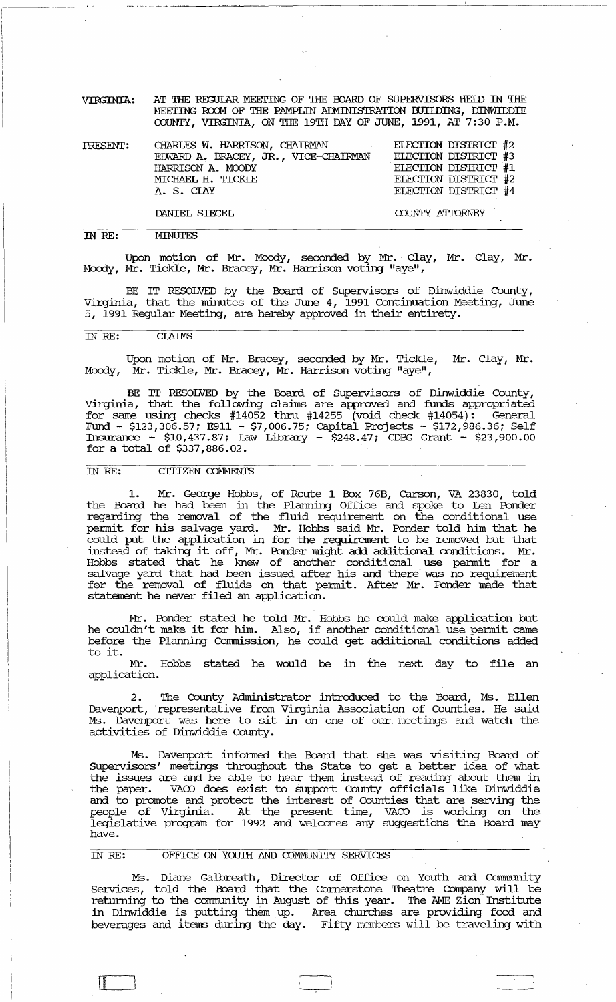VIRGINIA: AT THE REGULAR MEETING OF THE BOARD OF SUPERVISORS HEID IN THE MEEI'ING ROOM OF THE PAMPLIN ALMINISTRATION BUILDING, DINWIDDIE COUNTY, VIRGINIA, ON THE 19TH DAY OF JUNE, 1991, AT 7:30 P.M.

| PRESENT: | CHARLES W. HARRISON, CHAIRMAN        | ELECTION DISTRICT #2 |
|----------|--------------------------------------|----------------------|
|          | EDWARD A. BRACEY, JR., VICE-CHAIRMAN | ELECTION DISTRICT #3 |
|          | HARRISON A. MOODY                    | ELECTION DISTRICT #1 |
|          | MICHAEL H. TICKLE                    | ELECTION DISTRICT #2 |
|          | A. S. CIAY                           | ELECTION DISTRICT #4 |
|          |                                      |                      |

DANIEL SIEGEL

COUNTY ATTORNEY

#### IN *RE:*  **MINUTES**

Upon motion of Mr. Moody, seconded by Mr. Clay, Mr. Clay, Mr. Moody, Mr. Tickle, Mr. Bracey, Mr. Harrison voting "aye",

BE IT RESOLVED by the Board of Supervisors of Dinwiddie County, Virginia, that the minutes of the June 4, 1991 Continuation Meeting, June 5, 1991 Regular Meeting, are hereby approved in their entirety.

## IN *RE:* ClAIMS

Upon motion of Mr. Bracey, seconded by Mr. Tickle, Mr. Clay, Mr • Moody, Mr. Tickle, Mr. Bracey, Mr. Harrison voting "aye",

BE IT RESOLVED by the Board of Supervisors of Dinwiddie County, Virginia, that the following claims are approved and funds appropriated for same using checks #14052 thru #14255 (void check #14054): General Fund - \$123,306.57; E911 - \$7,006.75; capital Projects - \$172,986.36; Self Insurance - \$10,437.87; Law Library - \$248.47; CDBG Grant - \$23,900.00 for a total of  $\$337,886.02$ .

#### IN *RE:* CITIZEN COMMENTS

1. Mr. George Hobbs, of Route 1 Box 76B, carson, VA 23830, told the Board he had been in the Planning Office and spoke to Len Ponder regarding the removal of the fluid requirement on the conditional use pennit for his salvage yard. Mr. Hobbs said Mr. Ponder told him that he could put the application in for the requirement to be removed but that instead of taking it off, Mr. Ponder might add additional conditions. Mr. Hobbs stated that he knew of another conditional use pennit for a salvage yard that had been issued after his and there was no requirement for the removal of fluids on that permit. After Mr. Ponder made that statement he never filed an application.

Mr. Ponder stated he told Mr. Hobbs he could make application but he couldn't make it for him. Also, if another conditional use pennit came before the Planning commission, he could get additional conditions added to it.

Mr. Hobbs stated he would be in the next day to file an application.

2. 'Ihe County Administrator introduced to the Board, Ms. Ellen Davenport, representative from Virginia Association of Counties. He said Ms. Davenport was here to sit in on one of our meetings and watch the activities of Dinwiddie County.

Ms. Davenport infonned the Board that she was visiting Board of Supervisors' meetings throughout the State to get a better idea of what the issues are and be able to hear them instead of reading about them in<br>the paper. VACO does exist to support County officials like Dinwiddie VACO does exist to support County officials like Dinwiddie and to promote and protect the interest of Counties that are serving the people of Virginia. At the present time, VACO is working on the. legislative program for 1992 and welcomes any suggestions the Board may have.

## IN *RE:* OFFICE ON YOUTH AND COMMUNITY SERVICES

 $J$ III  $J$ III  $J$ III  $J$ III  $J$ III  $J$ III  $J$ III  $J$ III  $J$ III  $J$ III  $J$ III  $J$ III  $J$ III  $J$ III  $J$ III  $J$ III  $J$ III  $J$ III  $J$ III  $J$ III  $J$ III  $J$ III  $J$ III  $J$ III  $J$ III  $J$ III  $J$ III  $J$ III  $J$ III  $J$ III  $J$ III  $J$ I

 $\begin{bmatrix} 1 & 1 \\ 1 & 1 \end{bmatrix}$ 

Ms. Diane Galbreath, Director of Office on Youth and Community services, told the Board that the Cornerstone 'Iheatre Company will be returning to the community in August of this year. 'Ihe AME Zion Institute in Dinwiddie is putting them up. Area churches are providing food and beverages and items during the day. Fifty members will be traveling with

**-**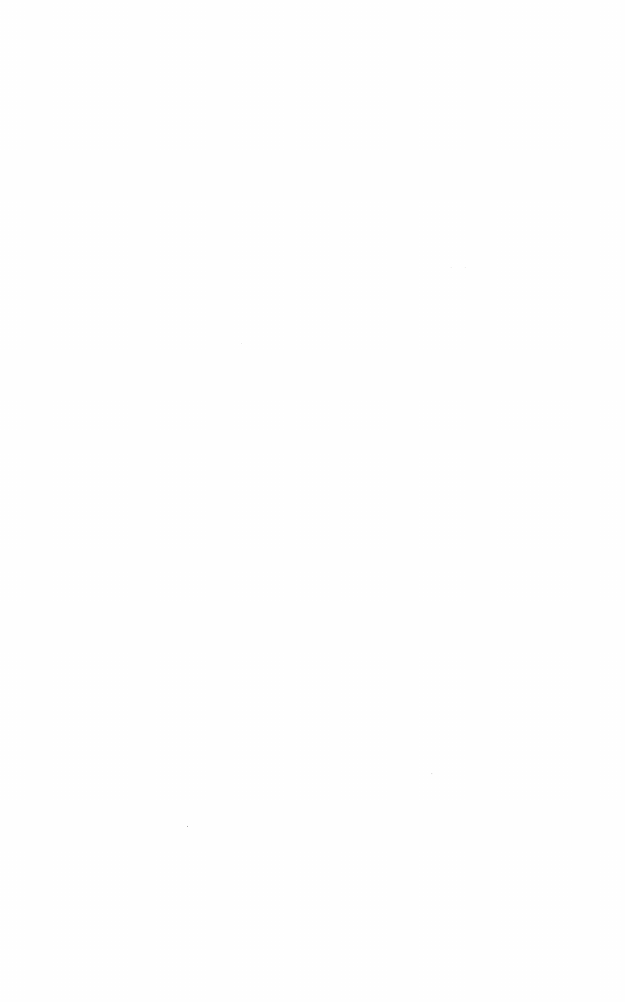$\label{eq:2.1} \frac{1}{\sqrt{2}}\left(\frac{1}{\sqrt{2}}\right)^{2} \left(\frac{1}{\sqrt{2}}\right)^{2} \left(\frac{1}{\sqrt{2}}\right)^{2} \left(\frac{1}{\sqrt{2}}\right)^{2} \left(\frac{1}{\sqrt{2}}\right)^{2} \left(\frac{1}{\sqrt{2}}\right)^{2} \left(\frac{1}{\sqrt{2}}\right)^{2} \left(\frac{1}{\sqrt{2}}\right)^{2} \left(\frac{1}{\sqrt{2}}\right)^{2} \left(\frac{1}{\sqrt{2}}\right)^{2} \left(\frac{1}{\sqrt{2}}\right)^{2} \left(\$ 

 $\label{eq:2.1} \frac{1}{\sqrt{2}}\int_{0}^{\infty}\frac{1}{\sqrt{2\pi}}\left(\frac{1}{\sqrt{2\pi}}\right)^{2\alpha} \frac{1}{\sqrt{2\pi}}\int_{0}^{\infty}\frac{1}{\sqrt{2\pi}}\left(\frac{1}{\sqrt{2\pi}}\right)^{\alpha} \frac{1}{\sqrt{2\pi}}\frac{1}{\sqrt{2\pi}}\int_{0}^{\infty}\frac{1}{\sqrt{2\pi}}\frac{1}{\sqrt{2\pi}}\frac{1}{\sqrt{2\pi}}\frac{1}{\sqrt{2\pi}}\frac{1}{\sqrt{2\pi}}\frac{1}{\sqrt{2\pi}}$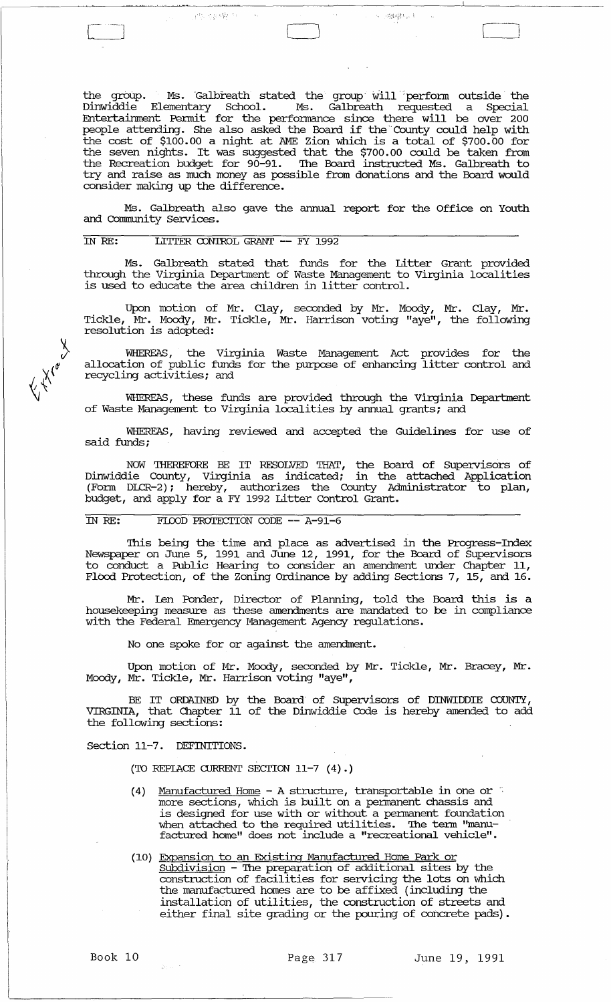LJ

 $\gamma_{\alpha}=\gamma^{\alpha}_{\alpha\beta}g_{\beta}^{\alpha}\delta_{\beta}^{\beta}\delta_{\beta\beta}^{\beta}(\beta)$ 

the group. Ms. Galbreath stated the group will perform outside the Dinwiddie Elementary School. Ms. Galbreath requested a Special Entertairnnent Pennit for the perfonnance since there will be over 200 people attending. She also asked the Board if the" County could help with the cost of \$100.00 a night at AME Zion which is a total of \$700.00 for the seven nights. It was suggested that the \$700.00 could be taken from the Recreation budget for 90-91. '!he Board instructed Ms. Galbreath to try and raise as much money as possible from donations and the Board would consider making up the difference.

Ms. Galbreath also gave the annual report for the Office on Youth and Community Services.

## IN RE: LI'ITER CONIROL GRANT **--** FY 1992

., e.g. e.g. 33

Ms. Galbreath stated that funds for the Litter Grant provided through the Virginia Department of Waste Management to Virginia localities is used to educate the area children in litter control.

Upon motion of Mr. Clay, seconded by Mr. Moody, Mr. Clay, Mr • Tickle, Mr. Moody, Mr. Tickle, Mr. Harrison voting "aye", the following resolution is adopted:

WHEREAS, the Virginia Waste Management Act provides for the allocation of public funds for the purpose of enhancing litter control and recycling activities; and

WHEREAS, these funds are provided through the Virginia Department of Waste Management to Virginia localities by annual grants; and

WHEREAS, having reviewed and accepted the Guidelines for use of said funds;

NOW THEREFORE BE IT RESOLVED THAT, the Board of Supervisors of Dinwiddie County, Virginia as indicated; in the attached Application (Fonn DICR-2); hereby, authorizes the County Administrator to plan, budget, and apply for a FY 1992 Litter Control Grant.

## IN RE: FLOOD PROI'ECI'ION CODE **--** A-91-6

This being the time and place as advertised in the Progress-Index Newspaper on June 5, 1991 and June 12, 1991, for the Board of Supervisors to conduct a Public Hearing to consider an amendment under Chapter 11, Flood Protection, of the Zoning Ordinance by adding Sections 7, 15, and 16.

Mr. Len Ponder, Director of Planning, told the Board this is a housekeeping measure as these amendments are mandated to be in compliance with the Federal Emergency Management Agency regulations.

No one spoke for or against the amendment.

Upon motion of Mr. Moody, seconded by Mr. Tickle, Mr. Bracey, Mr. Moody, Mr. Tickle, Mr. Harrison voting "aye",

BE IT ORDAINED by the Board of Supervisors of DINWIDDIE COUNTY, VIRGINIA, that Chapter 11 of the Dinwiddie Code is hereby amended to add the following sections:

section 11-7. DEFINITIONS.

(TO REPIACE CURRENT SECI'ION 11-7 (4).)

- (4) Manufactured Home - A structure, transportable in one or more sections, which is built on a pennanent chassis and is designed for use with or without a pennanent foundation when attached to the required utilities. The tenn "manu- ' factured home" does not include a "recreational vehicle".
- (10) Expansion to an Existing Manufactured Home Park or <u>subdivision</u> - The preparation of additional sites by the construction of facilities for servicing the lots on which the manufactured homes are to be affixed (including the installation of utilities, the construction of streets and either final site grading or the pouring of concrete pads).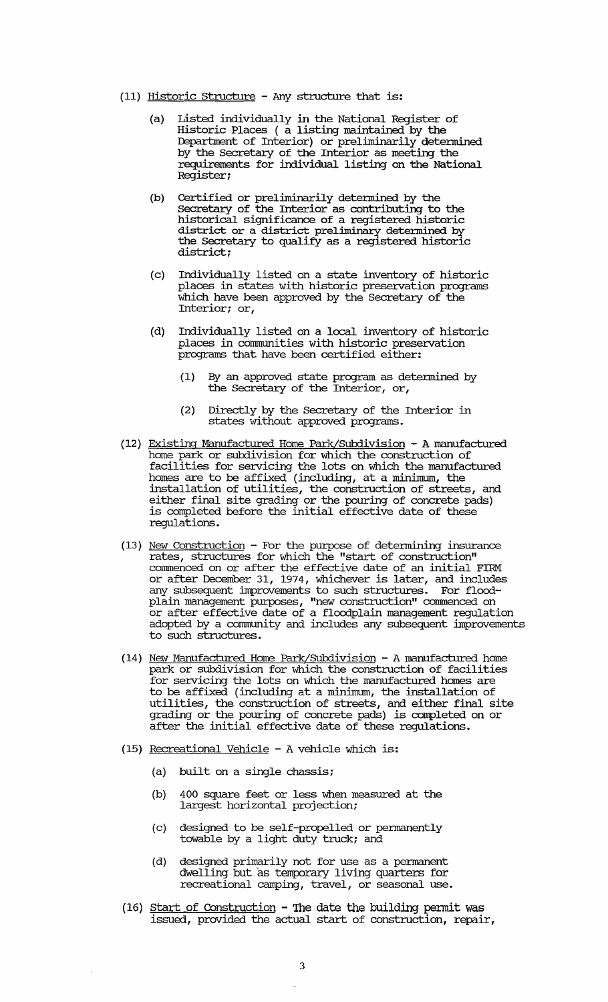- (11) Historic Structure Any structure that is:
	- (a) Listed individually in the National Register of Historic Places ( a listing maintained by the Department of Interior) or preliminarily determined by the Secretary of the Interior as meeting the requirements for individual listing on the National Register;
	- (b) Certified or preliminarily detennined by the Secretary of the Interior as contributing to the historical significance of a registered historic district or a district preliminary detennined by the Secretary to qualify as a registered historic district;
	- (c) Individually listed on a state inventory of historic places in states with historic preservation programs which have been approved by the Secretary of the Interior; or,
	- (d) Individually listed on a local inventory of historic places in communities with historic preservation programs that have been certified either:
		- (1) By an approved state program as detennined by the Secretary of the Interior, or,
		- (2) Directly by the Secretary of the Interior in states without approved programs.
- (12) Existing Manufactured Home Park/SUbdivision A manufactured home park or subdivision for which the construction of facilities for servicing the lots on which the manufactured homes are to be affixed (including, at a minimum, the installation of utilities, the construction of streets, and either final site grading or the pouring of concrete pads) is completed before the initial effective date of these regulations.
- (13) <u>New Construction</u> For the purpose of determining insurance rates, structures for which the "start of construction" comnenced on or after the effective date of an initial FIRM or after December 31, 1974, whichever is later, and includes any subsequent improvements to such structures. For floodplain management purposes, "new construction" conunenced on or after effective date of a floodplain management regulation adopted by a community and includes any subsequent improvements to such structures.
- (14) New Manufactured Home Park/Subdivision A manufactured home park or subdivision for which the construction of facilities for servicing the lots on which the manufactured homes are to be affixed (including at a minimum, the installation of utilities, the construction of streets, and either final site grading or the pouring of concrete pads) is completed on or after the initial effective date of these regulations.
- (15) Recreational Vehicle A vehicle which is:
	- (a) built on a single chassis;
	- (b) 400 square feet or less when measured at the largest horizontal projection;
	- (c) designed to be self-propelled or pennanently towable by a light duty truck; and
	- (d) designed primarily not for use as a pennanent dwelling but as temporary living quarters for recreational camping, travel, or seasonal use.
- (16) Start of Construction The date the building permit was issued, provided the actual start of construction, repair,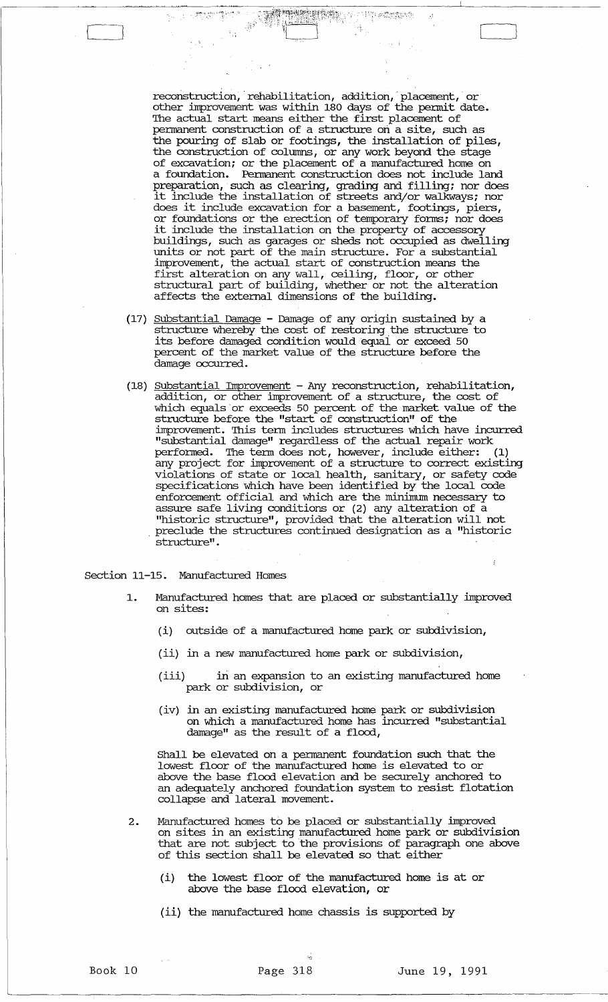${\rm reconstruction}$ , rehabilitation, addition, placement, or other improvement was within 180 days of the pennit date. The actual start means either the first placement of permanent construction of a structure on a site, such as the pouring of slab or footings, the installation of piles, the construction of columns, or any work beyond the stage of excavation; or the placement of a manufactured home on a foundation. Permanent construction does not include land preparation, such as clearing, grading and filling; nor does it include the installation of streets and/or walkways; nor does it include excavation for a basement, footings, piers, or foundations or the erection of temporary forms; nor does of foundations of the efection of temporary forms; not do buildings, such as garages or sheds not occupied as dwelling units or not part of the main structure. For a substantial improvement, the actual start of construction means the first alteration on any wall, ceiling, floor, or other structural part of building, whether or not the alteration affects the external dimensions of the building.

Ŕ.

 $\lfloor$ 

 $\bigcup$ 

- (17) Substantial Damage Damage of any origin sustained by a structure whereby the cost of restoring the structure to its before damaged condition would equal or exceed <sup>50</sup> percent of the market value of the structure before the damage occurred.
- (18) Substantial Improvement Any reconstruction, rehabilitation, addition, or other improvement of a structure, the cost of which equals or exceeds 50 percent of the market value of the structure before the "start of construction" of the improvement. '!his tenn includes structures which have incurred "substantial damage" regardless of the actual repair work performed. The term does not, however, include either: any project for improvement of a structure to correct existing violations of state or local health, sanitary, or safety code specifications which have been identified by the local code enforcement official and which are the minimum necessary to assure safe living conditions or (2) any alteration of a "historic structure", provided that the alteration will not preclude the structures continued designation as a "historic structure" .

#### Section 11-15. Manufactured Homes

- 1. Manufactured homes that are placed or substantially improved on sites:
	- (i) outside of a manufactured home park or subdivision,
	- (ii) in a new manufactured home park or subdivision,
	- (iii) in an expansion to an existing manufactured home park or subdivision, or
	- (iv) in an existing manufactured home park or subdivision on which a manufactured home has incurred "substantial damage" as the result of a flood,

Shall be elevated on a pennanent foundation such that the lowest floor of the manufactured home is elevated to or above the base flood elevation and be securely anchored to an adequately anchored foundation system to resist flotation collapse and lateral movement.

- 2. Manufactured homes to be placed or substantially improved on sites in an existing manufactured home park or subdivision that are not Subject to the provisions of paragraph one above of this section shall be elevated so that either
	- (i) the lowest floor of the manufactured home is at or above the base flood elevation, or
	- (ii) the manufactured home chassis is supported by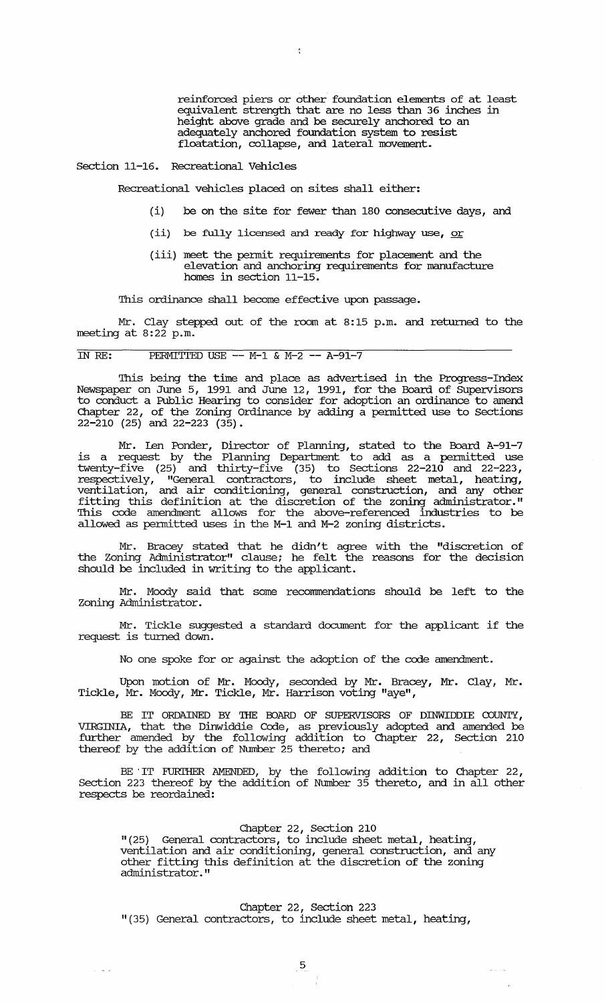reinforced piers or other foundation elements of at least equivalent strength that are no less than 36 inches in height above grade and be securely anchored to an adequately anchored foundation system to resist floatation, collapse, and lateral movement.

section 11-16. Recreational Vehicles

Recreational vehicles placed on sites shall either:

- (i) be on the site for fewer than 180 consecutive days, and
- (ii) be fully licensed and ready for highway use, or
- (iii) meet the permit requirements for placement and the elevation and anchoring requirements for manufacture homes in section 11-15.

This ordinance shall become effective upon passage.

Mr. Clay stepped out of the room at 8:15 p.m. and returned to the meeting at 8:22 p.m.

IN *RE:* PERMITTED USE **--** M-l & M-2 **--** A-91-7

This being the time and place as advertised in the Progress-Index Newspaper on June 5, 1991 and June 12, 1991, for the Board of supervisors to conduct a Public Hearing to consider for adoption an ordinance to amend Chapter 22, of the Zoning Ordinance by adding a permitted use to sections 22-210 (25) and 22-223 (35).

Mr. Len Ponder, Director of Planning, stated to the Board A-91-7 is a request by the Planning Department to add as a permitted use twenty-five (25) and thirty-five (35) to sections 22-210 and 22-223, respectively, "General contractors, to include sheet metal, heating, ventilation, and air conditioning, general construction, and any other fitting this definition at the discretion of the zoning administrator." This code amendment allows for the above-referenced industries to be allowed as permitted uses in the M-l and M-2 zoning districts.

Mr. Bracey stated that he didn't agree with the "discretion of the zoning Administrator" clause; he felt the reasons for the decision should be included in writing to the applicant.

Mr. Moody said that some recommendations should be left to the zoning Administrator.

Mr. Tickle suggested a standard document for the applicant if the request is turned down.

No one spoke for or against the adoption of the code amendment.

Upon motion of Mr. Moody, seconded by Mr. Bracey, Mr. Clay, Mr. Tickle, Mr. Moody, Mr. Tickle, Mr. Harrison voting "aye",

BE IT ORDAINED BY THE FOARD OF SUPERVISORS OF DINWIDDIE COUNTY, VIRGINIA, that the Dinwiddie Code, as previously adopted and amended be further amended by the following addition to Chapter 22, Section 210 thereof by the addition of Number 25 thereto; and

BE IT FURIHER AMENDED, by the following addition to Chapter 22, Section 223 thereof by the addition of Number 35 thereto, and in all other respects be reordained:

# Chapter 22, section 210

"(25) General contractors, to include sheet metal, heating, ventilation and air conditioning, general construction, and any other fitting this definition at the discretion of the zoning administrator."

Chapter 22, Section 223

5

 $\bar{z}_i, \bar{z}_j, \bar{z}_j, \bar{z}_k$ 

 $\sim$   $\sim$   $\sim$ 

"(35) General contractors, to include sheet metal, heating,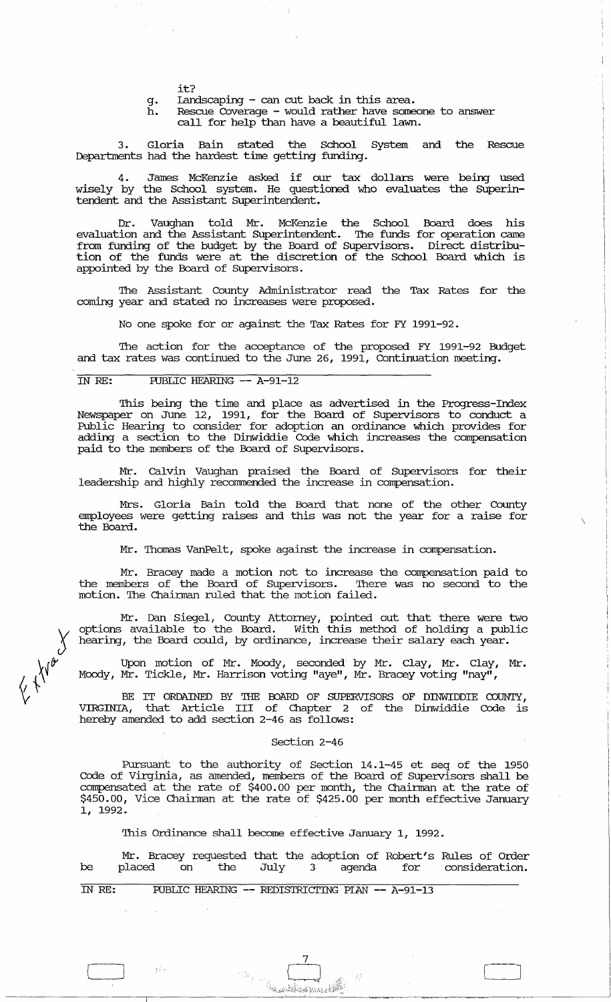it?

- g. Landscaping can cut back in this area.
- Rescue Coverage would rather have someone to answer call for help than have a beautiful lawn.

3. Gloria Bain stated the School System and the Rescue Departments had the hardest time getting funding.

4. James McKenzie asked if our tax dollars were being used wisely by the School system. He questioned who evaluates the Superintendent and the Assistant superintendent.

Dr. Vaughan told Mr. McKenzie the School Board does his evaluation and the Assistant Superintendent. The funds for operation came from funding of the budget by the Board of Supervisors. Direct distribution of the funds were at the discretion of the School Board which is appointed by the Board of Supervisors.

The Assistant County Administrator read the Tax Rates for the coming year and stated no increases were proposed.

No one spoke for or against the Tax Rates for FY 1991-92.

The action for the acceptance of the proposed FY 1991-92 Budget and tax rates was continued to the June 26, 1991, Continuation meeting.

## IN *RE:* PUBLIC HEARING **--** A-91-12

 $\lambda$   $\lambda$   $\lambda$ 

 $\Box$ 

 $\frac{1}{2}\sqrt{\epsilon}$  .

This being the time and place as advertised in the Progress-Index Newspaper on June 12, 1991, for the Board of Supervisors to conduct a Public Hearing to consider for adoption an ordinance which provides for adding a section to the Dinwiddie Code which increases the compensation paid to the members of the Board of Supervisors.

Mr. Calvin Vaughan praised the Board of Supervisors for their leadership and highly recommended the increase in compensation.

Mrs. Gloria Bain told the Board that none of the other County employees were getting raises and this was not the year for a raise for the Board.

Mr. Thomas VanPelt, spoke against the increase in compensation.

Mr. Bracey made a motion not to increase the compensation paid to mbers of the Board of Supervisors. There was no second to the the members of the Board of Supervisors. motion. The Chainnan ruled that the motion failed.

 $\chi$  is Mr. Dan Siegel, County Attorney, pointed out that there were two options available to the Board. With this method of holding a public hearing, the Board could, by ordinance, increase their salary each year.

Upon motion of Mr. Moody, seconded by Mr. Clay, Mr. Clay, Mr. Moody, Mr. Tickle, Mr. Harrison voting "aye", Mr. Bracey voting "nay",

BE IT ORDAINED BY THE BOARD OF SUPERVISORS OF DINWIDDIE COUNTY,<br>VIRGINIA, that Article III of Chapter 2 of the Dinwiddie Code is hereby amended to add section 2-46 as follows:

## Section 2-46

Pursuant to the authority of section 14.1-45 et seq of the 1950 Code of Virginia, as amended, members of the Board of Supervisors shall be compensated at the rate of \$400.00 per month, the Chainnan at the rate of \$450.00, Vice Chainnan at the rate of \$425.00 per month effective January 1, 1992.

This Ordinance shall become effective January 1, 1992.

Mr. Bracey requested that the adoption of Robert's Rules of Order<br>placed on the July 3 agenda for consideration. be placed on the July 3 agenda for consideration.

7

 $\frac{7}{\sqrt{2}}$ 

\

IN *RE:* PUBLIC HEARING **--** REDISTRICTING PIAN **--** A-91-13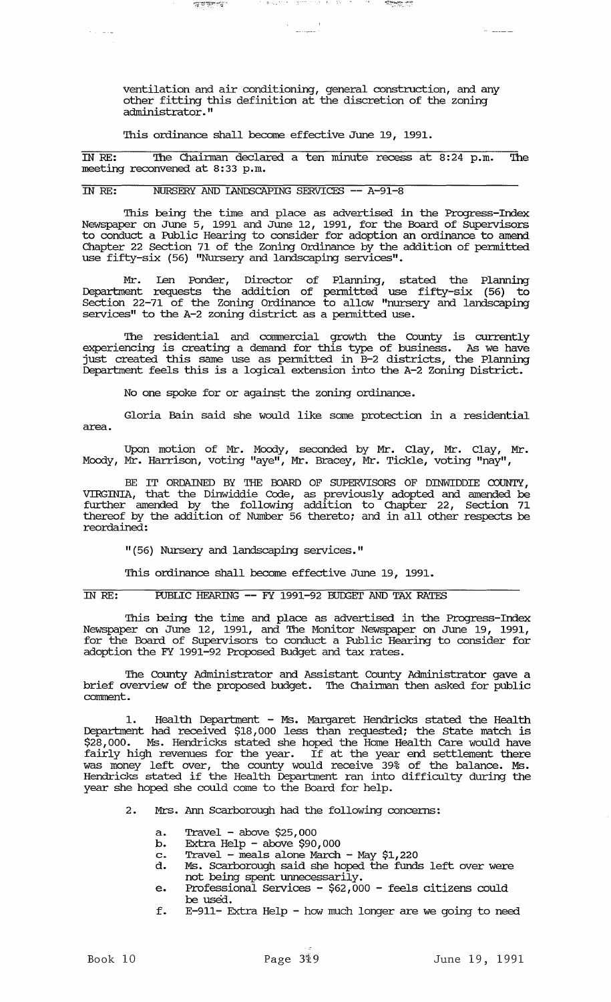ventilation and air conditioning, general construction, and any other fitting this definition at the discretion of the zoning administrator."

ال<br>المتشكليت

*Charles Call* 

s and a

This ordinance shall become effective June 19, 1991.

不可畏 化亚阿尔丁

IN RE: The Chainnan declared a ten minute recess at 8:24 p.m. The meeting reconvened at 8:33 p.m.

## IN RE: NURSERY AND IANDSCAPING SERVICES **--** A-91-8

그림 양 '행복 선물' ?

تفادي الرابط

This being the time and place as advertised in the Progress-Index Newspaper on June 5, 1991 and June 12, 1991, for the Board of supervisors to conduct a Public Hearing to consider for adoption an ordinance to amend Chapter 22 Section 71 of the Zoning Ordinance by the addition of pennitted use fifty-six (56) "Nursery and landscaping services".

Mr. len Ponder, Director of Planning, stated the Planning Department requests the addition of permitted use fifty-six (56) to section 22-71 of the Zoning Ordinance to allow "nursery and landscaping services" to the A-2 zoning district as a permitted use.

The residential and commercial growth the County is currently experiencing is creating a demand for this type of business. As we have just created this same use as permitted in B-2 districts, the Planning Deparbnent feels this is a logical extension into the A-2 Zoning District.

No one spoke for or against the zoning ordinance.

Gloria Bain said she would like some protection in a residential area.

Upon motion of Mr. Moody, seconded by Mr. Clay, Mr. Clay, Mr. Moody, Mr. Harrison, voting "aye", Mr. Bracey, Mr. Tickle, voting "nay",

BE IT ORDAINED BY THE BOARD OF SUPERVISORS OF DINWIDDIE COUNTY, VIRGINIA, that the Dinwiddie Code, as previously adopted and amended be further amended by the following addition to Chapter 22, Section 71 thereof by the addition of Number 56 thereto; and in all other respects be reordained :

"(56) Nursery and landscaping services."

This ordinance shall become effective June 19, 1991.

IN RE: RJBLIC HEARING **--** FY 1991-92 BUDGET AND TAX RATES

This being the time and place as advertised in the Progress-Index Newspaper on June 12, 1991, and The Monitor Newspaper on June 19, 1991, for the Board of supervisors to conduct a Public Hearing to consider for adoption the FY 1991-92 Proposed Budget and tax rates.

The County Administrator and Assistant County Administrator gave a brief overview of the proposed budget. The Chainnan then asked for public comment.

Health Department - Ms. Margaret Hendricks stated the Health Department had received \$18,000 less than requested; the State match is \$28,000. Ms. Hendricks stated she hoped the Home Health Care would have fairly high revenues for the year. If at the year end settlement there was money left over, the county would receive 39% of the balance. Ms. was money fert over, the county would receive 39% of the barance. His:<br>Hendricks stated if the Health Department ran into difficulty during the year she hoped she could come to the Board for help.

- 2. Mrs. Ann Scarborough had the following concerns:
	- a.  $Travel - above $25,000$
	- b. Extra Help - above  $$90,000$
	- c. Travel - meals alone March - May \$1,220
	- d. Ms. Scarborough said she hoped the funds left over were not being spent unnecessarily.
	- e. Professional Services - \$62,000 - feels citizens could be used.
	- f. E-9ll- Extra Help - how much longer are we going to need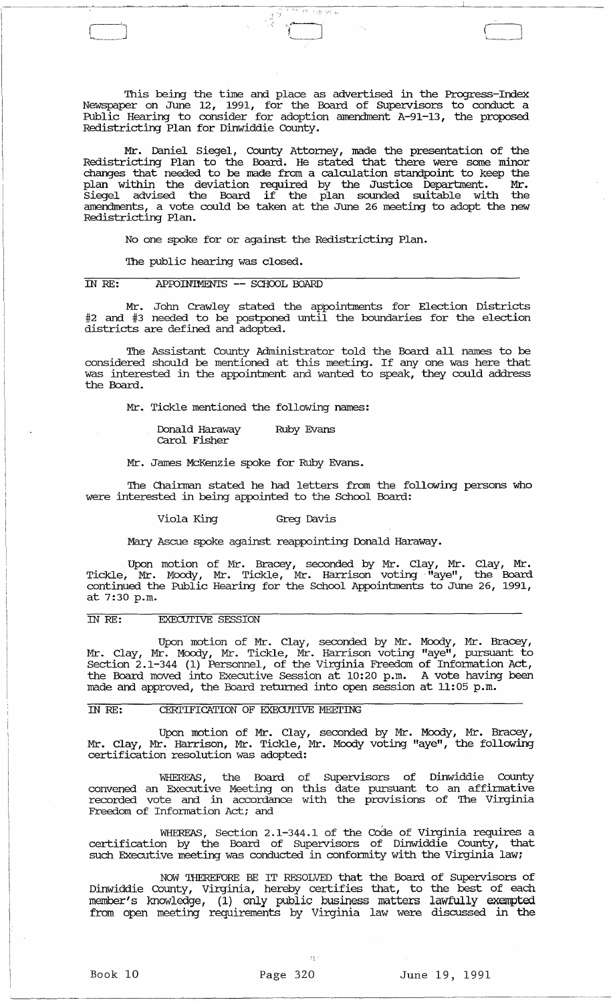This being the time and place as advertised in the Progress-Index Newspaper on June 12, 1991, for the Board of Supervisors to conduct a Public Hearing to consider for adoption amendment A-91-13, the proposed Redistricting Plan for Dinwiddie County.

 $\overline{\langle \hat{c}_1 \rangle \cdot \langle \hat{c}_2 \rangle \cdot \langle \hat{c}_1 \rangle}$ 

 $\Box$ 

 $+$   $+$   $+$ 

Mr. Daniel Siegel, County Attorney, made the presentation of the Redistricting Plan to the Board. He stated that there were some minor changes that needed to be made from a calculation standpoint to keep the plan within the deviation required by the Justice Department. Mr. Siegel advised the Board if the plan sounded suitable with the amendments, a vote could be taken at the June 26 meeting to adopt the new Redistricting Plan.

No one spoke for or against the Redistricting Plan.

The public hearing was closed.

#### IN RE: APfOIN'IMENTS -- SCHOOL OOARD

Mr. John Crawley stated the appointments for Election Districts #2 and #3 needed to be postponed until the boundaries for the election districts are defined and adopted.

The Assistant County Administrator told the Board all names to be considered should be mentioned at this meeting. If anyone was here that was interested in the appointment and wanted to speak, they could address the Board.

Mr. Tickle mentioned the following names:

Donald Haraway Carol Fisher Ruby Evans

Mr. James McKenzie spoke for Ruby Evans.

The Chairman stated he had letters from the following persons who were interested in being appointed to the School Board:

Viola King Greg Davis

Mary Ascue spoke against reappointing Donald Haraway.

Upon motion of Mr. Bracey, seconded by Mr. Clay, Mr. Clay, Mr • Tickle, Mr. Moody, Mr. Tickle, Mr. Harrison voting "aye", the Board continued the Public Hearing for the School Appointments to June 26, 1991, at 7:30 p.m.

## IN RE: EXECUTIVE SESSION

Upon motion of Mr. Clay, seconded by Mr. Moody, Mr. Bracey, Mr. Clay, Mr. Moody, Mr. Tickle, Mr. Harrison voting "aye", pursuant to Section 2.1-344 (1) Personnel, of the Virginia Freedom of Information Act, the Board moved into Executive Session at 10:20 p.m. A vote having been made and approved, the Board returned into open session at 11:05 p.m.

## IN RE: CERTIFICATION OF EXECUTIVE MEETING

Upon motion of Mr. Clay, seconded by Mr. Moody, Mr. Bracey, Mr. Clay, Mr. Harrison, Mr. Tickle, Mr. Moody voting "aye", the following certification resolution was adopted:

WHEREAS, the Board of Supervisors of Dinwiddie County convened an Executive Meeting on this date pursuant to an affirmative recorded vote and in accordance with the provisions of The Virginia Freedom of Information Act; and

WHEREAS, section 2.1-344.1 of the Code of Virginia requires a certification by the Board of supe:rvisors of Dinwiddie County, that such Executive meeting was conducted in conformity with the Virginia law;

NOW THEREFORE BE IT RESOLVED that the Board of Supervisors of Dinwiddie County, Virginia, hereby certifies that, to the best of each member's knowledge, (1) only public business matters lawfully exempted from open meeting requirements by Virginia law were discussed in the

 $\mathcal{J}^{\mathcal{L}}_{\mathcal{M}}$  :

-------------------------------------.~.-.--